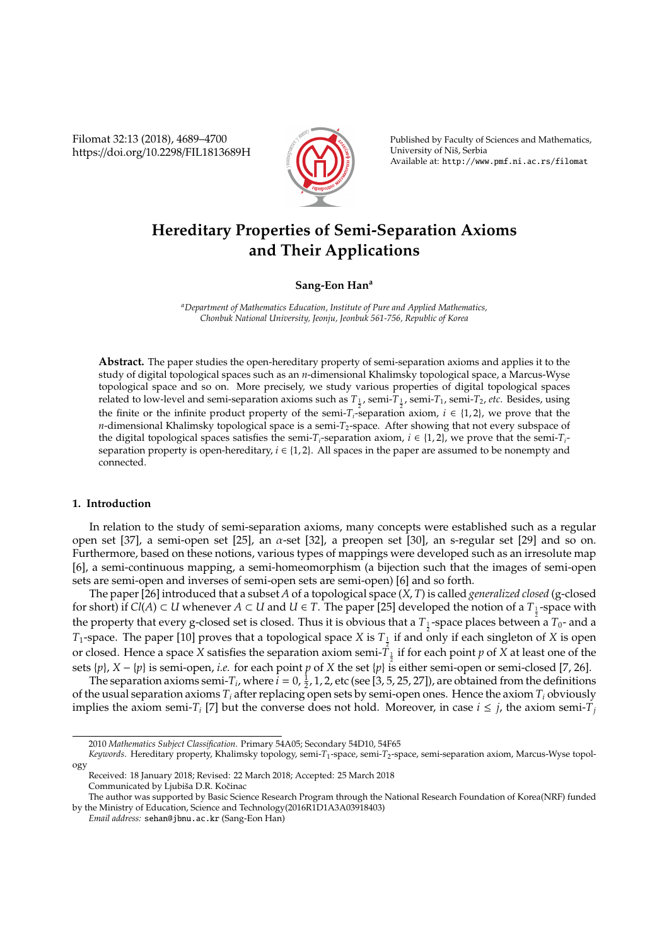Filomat 32:13 (2018), 4689–4700 https://doi.org/10.2298/FIL1813689H



Published by Faculty of Sciences and Mathematics, University of Niš, Serbia Available at: http://www.pmf.ni.ac.rs/filomat

# **Hereditary Properties of Semi-Separation Axioms and Their Applications**

**Sang-Eon Han<sup>a</sup>**

*<sup>a</sup>Department of Mathematics Education, Institute of Pure and Applied Mathematics, Chonbuk National University, Jeonju, Jeonbuk 561-756, Republic of Korea*

**Abstract.** The paper studies the open-hereditary property of semi-separation axioms and applies it to the study of digital topological spaces such as an *n*-dimensional Khalimsky topological space, a Marcus-Wyse topological space and so on. More precisely, we study various properties of digital topological spaces related to low-level and semi-separation axioms such as *T*<sup>1</sup> , semi-*T*<sup>1</sup> , semi-*T*1, semi-*T*2, *etc*. Besides, using the finite or the infinite product property of the semi- $T_i$ -separation axiom,  $i \in \{1, 2\}$ , we prove that the *n*-dimensional Khalimsky topological space is a semi-*T*<sub>2</sub>-space. After showing that not every subspace of the digital topological spaces satisfies the semi-*T<sub>i</sub>*-separation axiom,  $i \in \{1, 2\}$ , we prove that the semi-*T<sub>i</sub>*separation property is open-hereditary,  $i \in \{1, 2\}$ . All spaces in the paper are assumed to be nonempty and connected.

# **1. Introduction**

In relation to the study of semi-separation axioms, many concepts were established such as a regular open set [37], a semi-open set [25], an  $\alpha$ -set [32], a preopen set [30], an s-regular set [29] and so on. Furthermore, based on these notions, various types of mappings were developed such as an irresolute map [6], a semi-continuous mapping, a semi-homeomorphism (a bijection such that the images of semi-open sets are semi-open and inverses of semi-open sets are semi-open) [6] and so forth.

The paper [26] introduced that a subset *A* of a topological space (*X*, *T*) is called *generalized closed* (g-closed for short) if  $Cl(A) \subset U$  whenever  $A \subset U$  and  $U \in T$ . The paper [25] developed the notion of a  $T_1$ -space with the property that every g-closed set is closed. Thus it is obvious that a  $T_1$ -space places between a  $T_0$ - and a  $T_1$ -space. The paper [10] proves that a topological space *X* is  $T_{\frac{1}{2}}$  if and only if each singleton of *X* is open or closed. Hence a space *X* satisfies the separation axiom semi- $T_{\frac{1}{2}}$  if for each point *p* of *X* at least one of the sets {*p*}, *X* − {*p*} is semi-open, *i.e.* for each point *p* of *X* the set {*p*} is either semi-open or semi-closed [7, 26].

The separation axioms semi- $T_i$ , where  $i = 0, \frac{1}{2}, 1, 2$ , etc (see [3, 5, 25, 27]), are obtained from the definitions of the usual separation axioms *T<sup>i</sup>* after replacing open sets by semi-open ones. Hence the axiom *T<sup>i</sup>* obviously implies the axiom semi-*T<sub>i</sub>* [7] but the converse does not hold. Moreover, in case  $i \leq j$ , the axiom semi-*T<sub>i</sub>* 

<sup>2010</sup> *Mathematics Subject Classification*. Primary 54A05; Secondary 54D10, 54F65

*Keywords*. Hereditary property, Khalimsky topology, semi-*T*1-space, semi-*T*2-space, semi-separation axiom, Marcus-Wyse topology

Received: 18 January 2018; Revised: 22 March 2018; Accepted: 25 March 2018 Communicated by Ljubiša D.R. Kočinac

The author was supported by Basic Science Research Program through the National Research Foundation of Korea(NRF) funded by the Ministry of Education, Science and Technology(2016R1D1A3A03918403)

*Email address:* sehan@jbnu.ac.kr (Sang-Eon Han)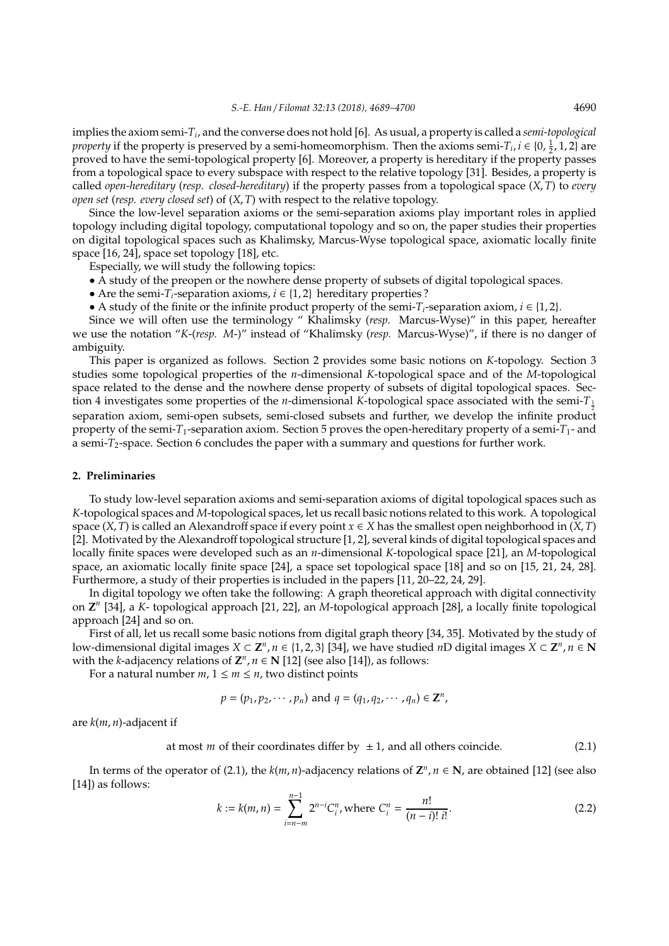implies the axiom semi-*T<sup>i</sup>* , and the converse does not hold [6]. As usual, a property is called a *semi-topological property* if the property is preserved by a semi-homeomorphism. Then the axioms semi-*T*<sub>*i*</sub>, *i* ∈ {0,  $\frac{1}{2}$ , 1, 2} are proved to have the semi-topological property [6]. Moreover, a property is hereditary if the property passes from a topological space to every subspace with respect to the relative topology [31]. Besides, a property is called *open-hereditary* (*resp. closed-hereditary*) if the property passes from a topological space (*X*, *T*) to *every open set* (*resp. every closed set*) of (*X*, *T*) with respect to the relative topology.

Since the low-level separation axioms or the semi-separation axioms play important roles in applied topology including digital topology, computational topology and so on, the paper studies their properties on digital topological spaces such as Khalimsky, Marcus-Wyse topological space, axiomatic locally finite space [16, 24], space set topology [18], etc.

Especially, we will study the following topics:

- A study of the preopen or the nowhere dense property of subsets of digital topological spaces.
- Are the semi- $T_i$ -separation axioms,  $i \in \{1, 2\}$  hereditary properties ?
- A study of the finite or the infinite product property of the semi- $T_i$ -separation axiom,  $i \in \{1, 2\}$ .

Since we will often use the terminology " Khalimsky (*resp.* Marcus-Wyse)" in this paper, hereafter we use the notation "*K*-(*resp. M*-)" instead of "Khalimsky (*resp.* Marcus-Wyse)", if there is no danger of ambiguity.

This paper is organized as follows. Section 2 provides some basic notions on *K*-topology. Section 3 studies some topological properties of the *n*-dimensional *K*-topological space and of the *M*-topological space related to the dense and the nowhere dense property of subsets of digital topological spaces. Section 4 investigates some properties of the *n*-dimensional *K*-topological space associated with the semi- $T_1$ separation axiom, semi-open subsets, semi-closed subsets and further, we develop the infinite product property of the semi-*T*1-separation axiom. Section 5 proves the open-hereditary property of a semi-*T*1- and a semi-*T*2-space. Section 6 concludes the paper with a summary and questions for further work.

### **2. Preliminaries**

To study low-level separation axioms and semi-separation axioms of digital topological spaces such as *K*-topological spaces and *M*-topological spaces, let us recall basic notions related to this work. A topological space  $(X, T)$  is called an Alexandroff space if every point  $x \in X$  has the smallest open neighborhood in  $(X, T)$ [2]. Motivated by the Alexandroff topological structure [1, 2], several kinds of digital topological spaces and locally finite spaces were developed such as an *n*-dimensional *K*-topological space [21], an *M*-topological space, an axiomatic locally finite space [24], a space set topological space [18] and so on [15, 21, 24, 28]. Furthermore, a study of their properties is included in the papers [11, 20–22, 24, 29].

In digital topology we often take the following: A graph theoretical approach with digital connectivity on **Z** *n* [34], a *K*- topological approach [21, 22], an *M*-topological approach [28], a locally finite topological approach [24] and so on.

First of all, let us recall some basic notions from digital graph theory [34, 35]. Motivated by the study of low-dimensional digital images  $X \subset \mathbb{Z}^n$ ,  $n \in \{1, 2, 3\}$  [34], we have studied *n*D digital images  $X \subset \mathbb{Z}^n$ ,  $n \in \mathbb{N}$ with the *k*-adjacency relations of  $\mathbf{Z}^n$ ,  $n \in \mathbf{N}$  [12] (see also [14]), as follows:

For a natural number  $m, 1 \le m \le n$ , two distinct points

$$
p = (p_1, p_2, \cdots, p_n)
$$
 and  $q = (q_1, q_2, \cdots, q_n) \in \mathbb{Z}^n$ ,

are *k*(*m*, *n*)-adjacent if

at most *m* of their coordinates differ by  $\pm 1$ , and all others coincide. (2.1)

In terms of the operator of (2.1), the  $k(m, n)$ -adjacency relations of  $\mathbb{Z}^n$ ,  $n \in \mathbb{N}$ , are obtained [12] (see also [14]) as follows:

$$
k := k(m, n) = \sum_{i=n-m}^{n-1} 2^{n-i} C_i^n, \text{ where } C_i^n = \frac{n!}{(n-i)! \, i!}.
$$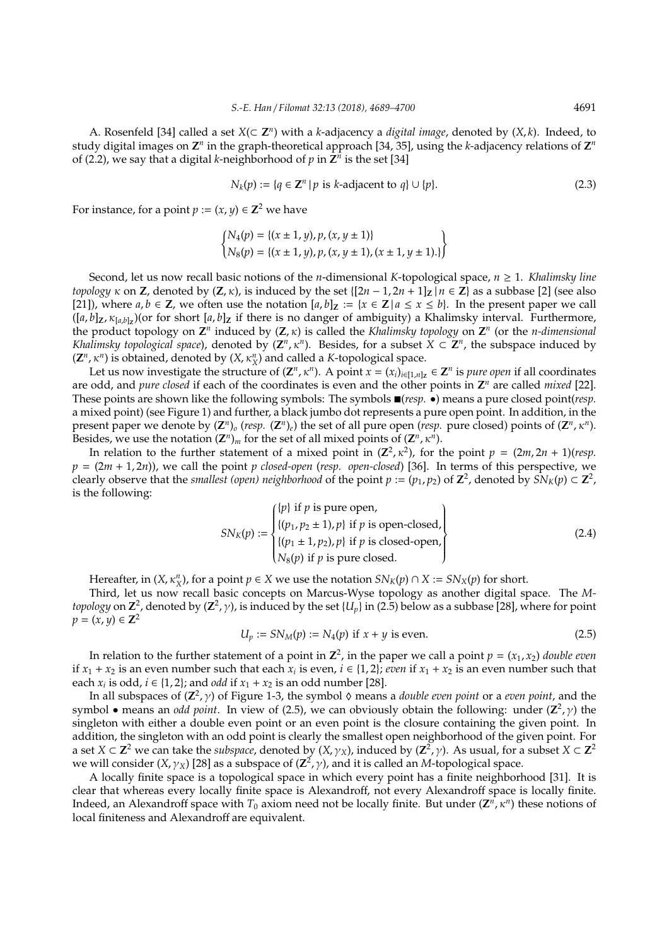A. Rosenfeld [34] called a set *X*(⊂ **Z** *n* ) with a *k*-adjacency a *digital image*, denoted by (*X*, *k*). Indeed, to study digital images on  $\mathbb{Z}^n$  in the graph-theoretical approach [34, 35], using the *k*-adjacency relations of  $\mathbb{Z}^n$ of (2.2), we say that a digital *k*-neighborhood of  $p$  in  $\mathbb{Z}^n$  is the set [34]

$$
N_k(p) := \{q \in \mathbb{Z}^n \mid p \text{ is } k\text{-adjacent to } q\} \cup \{p\}. \tag{2.3}
$$

For instance, for a point  $p := (x, y) \in \mathbb{Z}^2$  we have

$$
\begin{cases} N_4(p) = \{ (x \pm 1, y), p, (x, y \pm 1) \} \\ N_8(p) = \{ (x \pm 1, y), p, (x, y \pm 1), (x \pm 1, y \pm 1) \} \} \end{cases}
$$

Second, let us now recall basic notions of the *n*-dimensional *K*-topological space, *n* ≥ 1. *Khalimsky line topology*  $\kappa$  on **Z**, denoted by (**Z**,  $\kappa$ ), is induced by the set  $\left[\frac{2n-1}{2n+1}\right]$   $\kappa$  = **Z**} as a subbase [2] (see also [21]), where  $a, b \in \mathbb{Z}$ , we often use the notation  $[a, b]_{\mathbb{Z}} := \{x \in \mathbb{Z} \mid a \leq x \leq b\}$ . In the present paper we call ([*a*, *b*]**Z**, κ[*a*,*b*]**<sup>Z</sup>** )(or for short [*a*, *b*]**<sup>Z</sup>** if there is no danger of ambiguity) a Khalimsky interval. Furthermore, the product topology on  $\mathbb{Z}^n$  induced by  $(\mathbb{Z}, \kappa)$  is called the *Khalimsky topology* on  $\mathbb{Z}^n$  (or the *n-dimensional Khalimsky topological space*), denoted by  $(Z^n, \kappa^n)$ . Besides, for a subset  $X \subset Z^n$ , the subspace induced by  $(Z^n, \kappa^n)$  is obtained, denoted by  $(X, \kappa^n_X)$  and called a *K*-topological space.

Let us now investigate the structure of  $(\mathbf{Z}^n, \kappa^n)$ . A point  $x = (x_i)_{i \in [1,n]_Z} \in \mathbf{Z}^n$  is *pure open* if all coordinates are odd, and *pure closed* if each of the coordinates is even and the other points in  $\mathbb{Z}^n$  are called *mixed* [22]. These points are shown like the following symbols: The symbols (*resp.* •) means a pure closed point(*resp.* a mixed point) (see Figure 1) and further, a black jumbo dot represents a pure open point. In addition, in the present paper we denote by  $(Z^n)_o$  (*resp.*  $(Z^n)_e$ ) the set of all pure open (*resp.* pure closed) points of  $(Z^n, \kappa^n)$ . Besides, we use the notation  $(\mathbb{Z}^n)_m$  for the set of all mixed points of  $(\mathbb{Z}^n, \kappa^n)$ .

In relation to the further statement of a mixed point in  $(\mathbb{Z}^2, \kappa^2)$ , for the point  $p = (2m, 2n + 1)(resp.$  $p = (2m + 1, 2n)$ , we call the point *p* closed-open (*resp. open-closed*) [36]. In terms of this perspective, we clearly observe that the *smallest (open) neighborhood* of the point  $p := (p_1, p_2)$  of  $\mathbb{Z}^2$ , denoted by  $\hat{SN}_K(p) \subset \mathbb{Z}^2$ , is the following:

$$
SN_K(p) := \begin{cases} \{p\} \text{ if } p \text{ is pure open,} \\ \{(p_1, p_2 \pm 1), p\} \text{ if } p \text{ is open-closed,} \\ \{(p_1 \pm 1, p_2), p\} \text{ if } p \text{ is closed-open,} \\ N_8(p) \text{ if } p \text{ is pure closed.} \end{cases}
$$
(2.4)

Hereafter, in  $(X, \kappa_X^n)$ , for a point  $p \in X$  we use the notation  $SN_K(p) \cap X := SN_X(p)$  for short.

Third, let us now recall basic concepts on Marcus-Wyse topology as another digital space. The *Mtopology* on  $Z^2$ , denoted by  $(Z^2, \gamma)$ , is induced by the set  $\{U_p\}$  in (2.5) below as a subbase [28], where for point *p* = (*x*, *y*) ∈ **Z**<sup>2</sup>

$$
U_p := SN_M(p) := N_4(p) \text{ if } x + y \text{ is even.}
$$
\n
$$
(2.5)
$$

In relation to the further statement of a point in  $\mathbb{Z}^2$ , in the paper we call a point  $p = (x_1, x_2)$  *double even* if  $x_1 + x_2$  is an even number such that each  $x_i$  is even,  $i \in \{1,2\}$ ; *even* if  $x_1 + x_2$  is an even number such that each  $x_i$  is odd,  $i \in \{1, 2\}$ ; and *odd* if  $x_1 + x_2$  is an odd number [28].

In all subspaces of  $(\mathbb{Z}^2, \gamma)$  of Figure 1-3, the symbol  $\Diamond$  means a *double even point* or a *even point*, and the symbol • means an *odd point*. In view of (2.5), we can obviously obtain the following: under  $(\mathbb{Z}^2, \gamma)$  the singleton with either a double even point or an even point is the closure containing the given point. In addition, the singleton with an odd point is clearly the smallest open neighborhood of the given point. For a set  $X \subset \mathbb{Z}^2$  we can take the *subspace*, denoted by  $(X, \gamma_X)$ , induced by  $(\mathbb{Z}^2, \gamma)$ . As usual, for a subset  $X \subset \mathbb{Z}^2$ we will consider (*X*, γ*X*) [28] as a subspace of (**Z** 2 , γ), and it is called an *M*-topological space.

A locally finite space is a topological space in which every point has a finite neighborhood [31]. It is clear that whereas every locally finite space is Alexandroff, not every Alexandroff space is locally finite. Indeed, an Alexandroff space with  $T_0$  axiom need not be locally finite. But under  $(\mathbf{Z}^n, \kappa^n)$  these notions of local finiteness and Alexandroff are equivalent.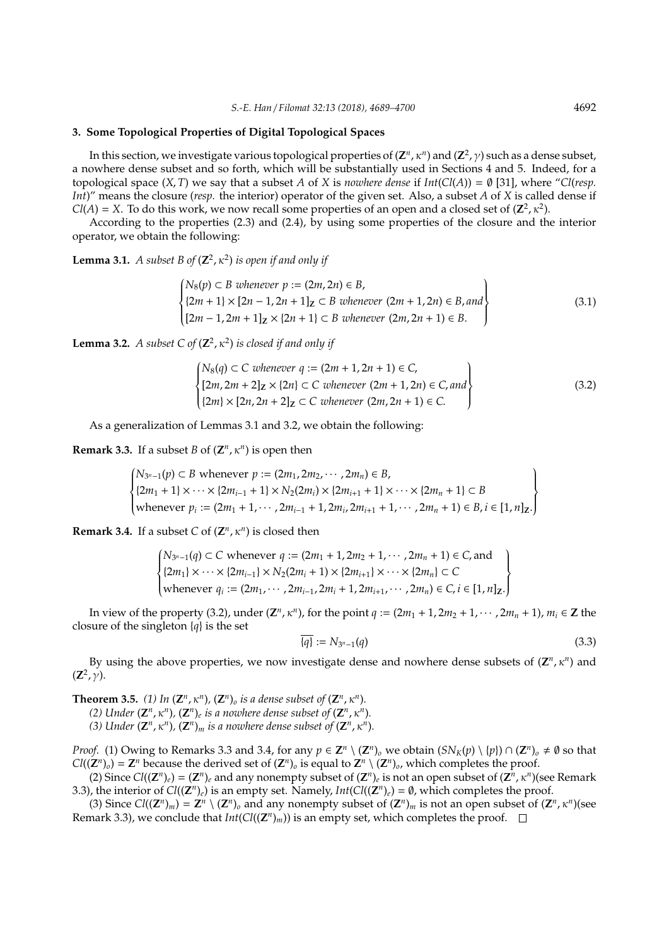## **3. Some Topological Properties of Digital Topological Spaces**

In this section, we investigate various topological properties of  $(\mathbf{Z}^n,\kappa^n)$  and  $(\mathbf{Z}^2,\gamma)$  such as a dense subset, a nowhere dense subset and so forth, which will be substantially used in Sections 4 and 5. Indeed, for a topological space  $(X, T)$  we say that a subset *A* of *X* is *nowhere dense* if  $Int(Cl(A)) = \emptyset$  [31], where "*Cl(resp. Int*)" means the closure (*resp.* the interior) operator of the given set. Also, a subset *A* of *X* is called dense if  $Cl(A) = X$ . To do this work, we now recall some properties of an open and a closed set of  $(\mathbb{Z}^2, \kappa^2)$ .

According to the properties (2.3) and (2.4), by using some properties of the closure and the interior operator, we obtain the following:

**Lemma 3.1.** *A subset B of*  $(\mathbb{Z}^2, \kappa^2)$  *is open if and only if* 

$$
\begin{cases}\nN_8(p) \subset B \text{ whenever } p := (2m, 2n) \in B, \\
\{2m+1\} \times [2n-1, 2n+1]_Z \subset B \text{ whenever } (2m+1, 2n) \in B, and \\
[2m-1, 2m+1]_Z \times \{2n+1\} \subset B \text{ whenever } (2m, 2n+1) \in B.\n\end{cases}
$$
\n(3.1)

**Lemma 3.2.** *A subset* C of  $(\mathbb{Z}^2, \kappa^2)$  *is closed if and only if* 

$$
\begin{cases}\nN_8(q) \subset C \text{ whenever } q := (2m + 1, 2n + 1) \in C, \\
[2m, 2m + 2]_Z \times \{2n\} \subset C \text{ whenever } (2m + 1, 2n) \in C, \text{ and} \\
[2m] \times [2n, 2n + 2]_Z \subset C \text{ whenever } (2m, 2n + 1) \in C.\n\end{cases}
$$
\n(3.2)

As a generalization of Lemmas 3.1 and 3.2, we obtain the following:

**Remark 3.3.** If a subset *B* of  $(\mathbb{Z}^n, \kappa^n)$  is open then

$$
\begin{cases}\nN_{3^{n}-1}(p) \subset B \text{ whenever } p := (2m_1, 2m_2, \cdots, 2m_n) \in B, \\
\{2m_1 + 1\} \times \cdots \times \{2m_{i-1} + 1\} \times N_2(2m_i) \times \{2m_{i+1} + 1\} \times \cdots \times \{2m_n + 1\} \subset B \\
\text{whenever } p_i := (2m_1 + 1, \cdots, 2m_{i-1} + 1, 2m_i, 2m_{i+1} + 1, \cdots, 2m_n + 1) \in B, i \in [1, n]_Z.\n\end{cases}
$$

**Remark 3.4.** If a subset *C* of  $(\mathbb{Z}^n, \kappa^n)$  is closed then

$$
\begin{cases} N_{3^{n}-1}(q) \subset C \text{ whenever } q := (2m_1 + 1, 2m_2 + 1, \cdots, 2m_n + 1) \in C, \text{and} \\ \{2m_1\} \times \cdots \times \{2m_{i-1}\} \times N_2(2m_i + 1) \times \{2m_{i+1}\} \times \cdots \times \{2m_n\} \subset C \\ \text{whenever } q_i := (2m_1, \cdots, 2m_{i-1}, 2m_i + 1, 2m_{i+1}, \cdots, 2m_n) \in C, i \in [1, n] \mathbb{Z}. \end{cases}
$$

In view of the property (3.2), under  $(\mathbb{Z}^n, \kappa^n)$ , for the point  $q := (2m_1 + 1, 2m_2 + 1, \dots, 2m_n + 1)$ ,  $m_i \in \mathbb{Z}$  the closure of the singleton {*q*} is the set

$$
\overline{\{q\}} := N_{3^n - 1}(q) \tag{3.3}
$$

By using the above properties, we now investigate dense and nowhere dense subsets of  $(\mathbb{Z}^n, \kappa^n)$  and  $(Z^2, \gamma)$ .

**Theorem 3.5.** (1) In  $(\mathbb{Z}^n, \kappa^n)$ ,  $(\mathbb{Z}^n)_{\sigma}$  is a dense subset of  $(\mathbb{Z}^n, \kappa^n)$ .

*(2)* Under  $(\mathbf{Z}^n, \kappa^n)$ ,  $(\mathbf{Z}^n)_e$  is a nowhere dense subset of  $(\mathbf{Z}^n, \kappa^n)$ .

*(3)* Under  $(\mathbf{Z}^n, \kappa^n)$ ,  $(\mathbf{Z}^n)_m$  is a nowhere dense subset of  $(\mathbf{Z}^n, \kappa^n)$ .

*Proof.* (1) Owing to Remarks 3.3 and 3.4, for any  $p \in \mathbb{Z}^n \setminus (\mathbb{Z}^n)$  we obtain  $(SN_K(p) \setminus \{p\}) \cap (\mathbb{Z}^n)$   $\neq \emptyset$  so that  $Cl((\mathbf{Z}^n)_o) = \mathbf{Z}^n$  because the derived set of  $(\mathbf{Z}^n)_o$  is equal to  $\mathbf{Z}^n \setminus (\mathbf{Z}^n)_o$ , which completes the proof.

(2) Since  $Cl((\mathbf{Z}^n)_e) = (\mathbf{Z}^n)_e$  and any nonempty subset of  $(\mathbf{Z}^n)_e$  is not an open subset of  $(\mathbf{Z}^n, \kappa^n)$  (see Remark 3.3), the interior of  $Cl((\mathbf{Z}^n)_e)$  is an empty set. Namely,  $Int(Cl((\mathbf{Z}^n)_e) = \emptyset$ , which completes the proof.

(3) Since  $Cl((\mathbb{Z}^n)_m) = \mathbb{Z}^n \setminus (\mathbb{Z}^n)_o$  and any nonempty subset of  $(\mathbb{Z}^n)_m$  is not an open subset of  $(\mathbb{Z}^n, \kappa^n)$  (see Remark 3.3), we conclude that *Int*( $Cl((\mathbb{Z}^n)_m)$ ) is an empty set, which completes the proof.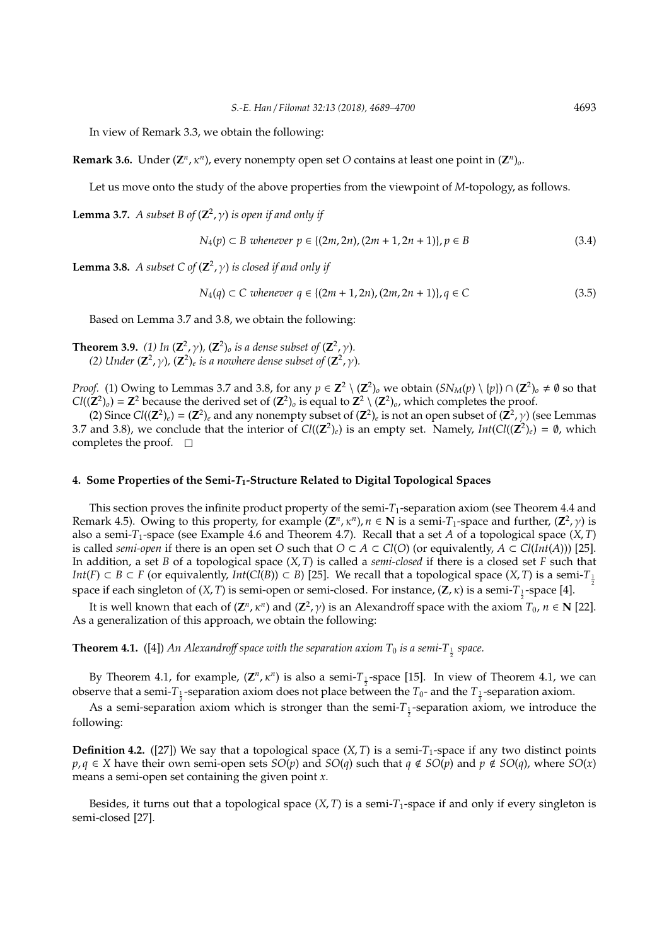In view of Remark 3.3, we obtain the following:

**Remark 3.6.** Under  $(\mathbb{Z}^n, \kappa^n)$ , every nonempty open set *O* contains at least one point in  $(\mathbb{Z}^n)_{\mathfrak{o}}$ .

Let us move onto the study of the above properties from the viewpoint of *M*-topology, as follows.

**Lemma 3.7.** *A subset B of*  $(\mathbb{Z}^2, \gamma)$  *is open if and only if* 

$$
N_4(p) \subset B \text{ whenever } p \in \{(2m, 2n), (2m+1, 2n+1)\}, p \in B \tag{3.4}
$$

**Lemma 3.8.** *A subset*  $C$  of  $(\mathbb{Z}^2, \gamma)$  *is closed if and only if* 

$$
N_4(q) \subset C \text{ whenever } q \in \{(2m+1, 2n), (2m, 2n+1)\}, q \in C \tag{3.5}
$$

Based on Lemma 3.7 and 3.8, we obtain the following:

**Theorem 3.9.** (1) In  $(\mathbb{Z}^2, \gamma)$ ,  $(\mathbb{Z}^2)_{\text{o}}$  is a dense subset of  $(\mathbb{Z}^2, \gamma)$ . *(2)* Under  $(\mathbb{Z}^2, \gamma)$ ,  $(\mathbb{Z}^2)_{e}$  is a nowhere dense subset of  $(\mathbb{Z}^2, \gamma)$ .

*Proof.* (1) Owing to Lemmas 3.7 and 3.8, for any  $p \in \mathbb{Z}^2 \setminus (\mathbb{Z}^2)_o$  we obtain  $(SN_M(p) \setminus \{p\}) \cap (\mathbb{Z}^2)_o \neq \emptyset$  so that  $Cl((\mathbf{Z}^2)_0) = \mathbf{Z}^2$  because the derived set of  $(\mathbf{Z}^2)_0$  is equal to  $\mathbf{Z}^2 \setminus (\mathbf{Z}^2)_0$ , which completes the proof.

(2) Since  $Cl((\mathbb{Z}^2)_e) = (\mathbb{Z}^2)_e$  and any nonempty subset of  $(\mathbb{Z}^2)_e$  is not an open subset of  $(\mathbb{Z}^2, \gamma)$  (see Lemmas 3.7 and 3.8), we conclude that the interior of  $Cl((\mathbb{Z}^2)_e)$  is an empty set. Namely,  $Int(Cl((\mathbb{Z}^2)_e) = \emptyset$ , which completes the proof.  $\square$ 

# **4. Some Properties of the Semi-***T***1-Structure Related to Digital Topological Spaces**

This section proves the infinite product property of the semi-*T*1-separation axiom (see Theorem 4.4 and Remark 4.5). Owing to this property, for example  $(\mathbb{Z}^n, \kappa^n)$ ,  $n \in \mathbb{N}$  is a semi- $T_1$ -space and further,  $(\mathbb{Z}^2, \gamma)$  is also a semi-*T*1-space (see Example 4.6 and Theorem 4.7). Recall that a set *A* of a topological space (*X*, *T*) is called *semi-open* if there is an open set *O* such that  $O \subset A \subset Cl(O)$  (or equivalently,  $A \subset Cl(*Int*(A))$ ) [25]. In addition, a set *B* of a topological space (*X*, *T*) is called a *semi-closed* if there is a closed set *F* such that *Int*(*F*) ⊂ *B* ⊂ *F* (or equivalently, *Int*(*Cl*(*B*)) ⊂ *B*) [25]. We recall that a topological space (*X, T*) is a semi-*T*<sub> $\frac{1}{2}$ </sub> space if each singleton of (*X, T*) is semi-open or semi-closed. For instance, (**Z**, κ) is a semi-T<sub>1</sub>-space [4].

It is well known that each of  $(\mathbf{Z}^n, \kappa^n)$  and  $(\mathbf{Z}^2, \gamma)$  is an Alexandroff space with the axiom  $T_0$ ,  $n \in \mathbf{N}$  [22]. As a generalization of this approach, we obtain the following:

**Theorem 4.1.** ([4]) An Alexandroff space with the separation axiom  $T_0$  is a semi- $T_{\frac{1}{2}}$  space.

By Theorem 4.1, for example,  $(\mathbb{Z}^n, \kappa^n)$  is also a semi- $T_{\frac{1}{2}}$ -space [15]. In view of Theorem 4.1, we can observe that a semi- $T_{\frac{1}{2}}$ -separation axiom does not place between the  $T_0$ - and the  $T_{\frac{1}{2}}$ -separation axiom.

As a semi-separation axiom which is stronger than the semi- $T_{\frac{1}{2}}$ -separation axiom, we introduce the following:

**Definition 4.2.** ([27]) We say that a topological space  $(X, T)$  is a semi- $T_1$ -space if any two distinct points *p*, *q* ∈ *X* have their own semi-open sets *SO*(*p*) and *SO*(*q*) such that *q* ∉ *SO*(*p*) and *p* ∉ *SO*(*q*), where *SO*(*x*) means a semi-open set containing the given point *x*.

Besides, it turns out that a topological space  $(X, T)$  is a semi- $T_1$ -space if and only if every singleton is semi-closed [27].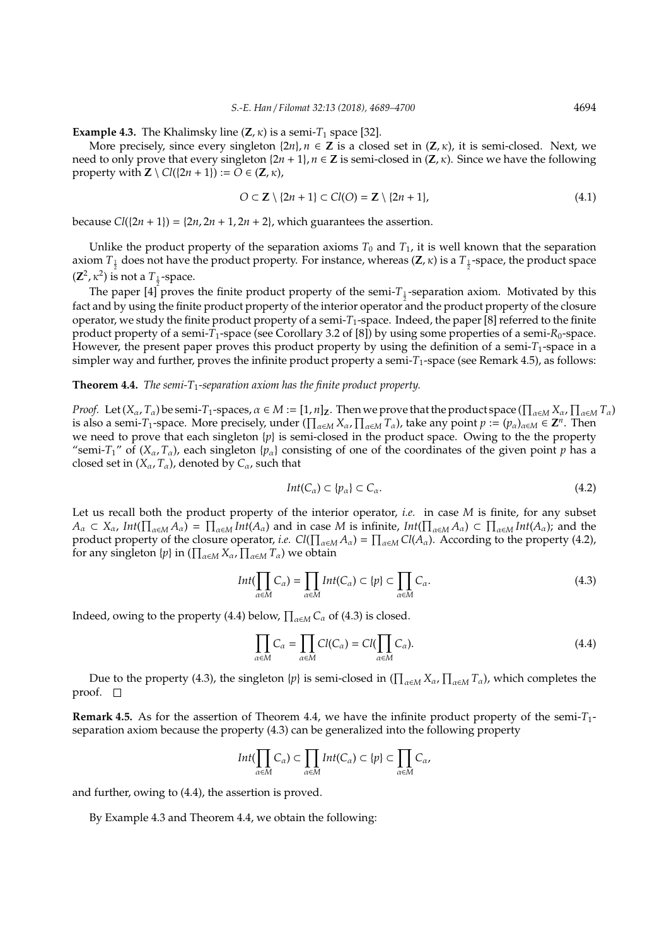**Example 4.3.** The Khalimsky line  $(Z, \kappa)$  is a semi- $T_1$  space [32].

More precisely, since every singleton  $\{2n\}$ ,  $n \in \mathbb{Z}$  is a closed set in  $(\mathbb{Z}, \kappa)$ , it is semi-closed. Next, we need to only prove that every singleton  $\{2n + 1\}$ ,  $n \in \mathbb{Z}$  is semi-closed in  $(\mathbb{Z}, \kappa)$ . Since we have the following property with  $\mathbf{Z} \setminus Cl({2n + 1}) := O \in (\mathbf{Z}, \kappa)$ ,

$$
O \subset \mathbf{Z} \setminus \{2n+1\} \subset Cl(O) = \mathbf{Z} \setminus \{2n+1\},\tag{4.1}
$$

because  $Cl({2n + 1}) = {2n, 2n + 1, 2n + 2}$ , which guarantees the assertion.

Unlike the product property of the separation axioms  $T_0$  and  $T_1$ , it is well known that the separation axiom  $T_{\frac{1}{2}}$  does not have the product property. For instance, whereas  $(Z, \kappa)$  is a  $T_{\frac{1}{2}}$ -space, the product space  $(Z^2, \kappa^2)$  is not a  $T_1$ -space.

The paper  $[4]$  proves the finite product property of the semi- $T_{\frac{1}{2}}$ -separation axiom. Motivated by this fact and by using the finite product property of the interior operator and the product property of the closure operator, we study the finite product property of a semi-*T*1-space. Indeed, the paper [8] referred to the finite product property of a semi-*T*1-space (see Corollary 3.2 of [8]) by using some properties of a semi-*R*0-space. However, the present paper proves this product property by using the definition of a semi-*T*1-space in a simpler way and further, proves the infinite product property a semi-*T*<sub>1</sub>-space (see Remark 4.5), as follows:

## **Theorem 4.4.** *The semi-T*1*-separation axiom has the finite product property.*

*Proof.* Let  $(X_\alpha, T_\alpha)$  be semi- $T_1$ -spaces,  $\alpha \in M := [1, n]_Z$ . Then we prove that the product space ( $\prod_{\alpha \in M} X_\alpha$ ,  $\prod_{\alpha \in M} T_\alpha$ ) is also a semi-*T*<sub>1</sub>-space. More precisely, under  $(\prod_{\alpha \in M} X_{\alpha}, \prod_{\alpha \in M} T_{\alpha})$ , take any point  $p := (p_{\alpha})_{\alpha \in M} \in \mathbb{Z}^{n}$ . Then we need to prove that each singleton  $\{p\}$  is semi-closed in the product space. Owing to the the property "semi-*T*<sub>1</sub>" of (*X*<sub>α</sub>, *T*<sub>α</sub>), each singleton {*p*<sub>α</sub>} consisting of one of the coordinates of the given point *p* has a closed set in  $(X_\alpha, T_\alpha)$ , denoted by  $C_\alpha$ , such that

$$
Int(C_{\alpha}) \subset \{p_{\alpha}\} \subset C_{\alpha}.\tag{4.2}
$$

Let us recall both the product property of the interior operator, *i.e.* in case *M* is finite, for any subset  $A_{\alpha} \subset X_{\alpha}$ ,  $Int(\prod_{\alpha \in M} A_{\alpha}) = \prod_{\alpha \in M} Int(A_{\alpha})$  and in case *M* is infinite,  $Int(\prod_{\alpha \in M} A_{\alpha}) \subset \prod_{\alpha \in M} Int(A_{\alpha})$ ; and the product property of the closure operator, *i.e.*  $Cl(\prod_{\alpha\in M} A_\alpha) = \prod_{\alpha\in M} Cl(A_\alpha)$ . According to the property (4.2), for any singleton  $\{p\}$  in  $(\prod_{\alpha \in M} X_{\alpha}, \prod_{\alpha \in M} T_{\alpha})$  we obtain

$$
Int(\prod_{\alpha \in M} C_{\alpha}) = \prod_{\alpha \in M} Int(C_{\alpha}) \subset \{p\} \subset \prod_{\alpha \in M} C_{\alpha}.
$$
 (4.3)

Indeed, owing to the property (4.4) below,  $\prod_{\alpha \in M} C_{\alpha}$  of (4.3) is closed.

$$
\prod_{\alpha \in M} C_{\alpha} = \prod_{\alpha \in M} Cl(C_{\alpha}) = Cl(\prod_{\alpha \in M} C_{\alpha}).
$$
\n(4.4)

Due to the property (4.3), the singleton  $\{p\}$  is semi-closed in  $(\prod_{\alpha\in M}X_\alpha,\prod_{\alpha\in M}T_\alpha)$ , which completes the proof.  $\square$ 

**Remark 4.5.** As for the assertion of Theorem 4.4, we have the infinite product property of the semi-*T*1 separation axiom because the property (4.3) can be generalized into the following property

$$
Int(\prod_{\alpha\in M}C_{\alpha})\subset \prod_{\alpha\in M}Int(C_{\alpha})\subset \{p\}\subset \prod_{\alpha\in M}C_{\alpha},
$$

and further, owing to (4.4), the assertion is proved.

By Example 4.3 and Theorem 4.4, we obtain the following: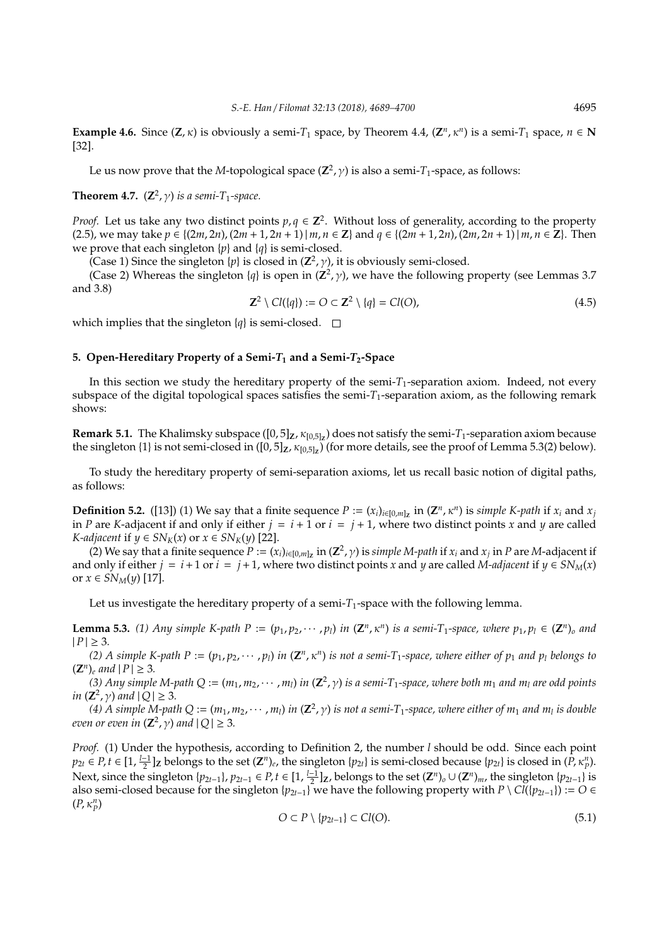**Example 4.6.** Since  $(Z, \kappa)$  is obviously a semi- $T_1$  space, by Theorem 4.4,  $(Z^n, \kappa^n)$  is a semi- $T_1$  space,  $n \in \mathbb{N}$ [32].

Le us now prove that the *M*-topological space (**Z** 2 , γ) is also a semi-*T*1-space, as follows:

# **Theorem 4.7.**  $(\mathbb{Z}^2, \gamma)$  *is a semi-T*<sub>1</sub>-space.

*Proof.* Let us take any two distinct points  $p, q \in \mathbb{Z}^2$ . Without loss of generality, according to the property (2.5), we may take  $p \in \{(2m, 2n), (2m+1, 2n+1) | m, n \in \mathbb{Z}\}\$  and  $q \in \{(2m+1, 2n), (2m, 2n+1) | m, n \in \mathbb{Z}\}\$ . Then we prove that each singleton {*p*} and {*q*} is semi-closed.

(Case 1) Since the singleton  $\{p\}$  is closed in  $(\mathbb{Z}^2, \gamma)$ , it is obviously semi-closed.

(Case 2) Whereas the singleton  $\{q\}$  is open in  $(\mathbb{Z}^2, \gamma)$ , we have the following property (see Lemmas 3.7) and 3.8)

$$
\mathbf{Z}^2 \setminus \mathcal{Cl}(\{q\}) := O \subset \mathbf{Z}^2 \setminus \{q\} = \mathcal{Cl}(O),\tag{4.5}
$$

which implies that the singleton  ${q}$  is semi-closed.  $\square$ 

# **5. Open-Hereditary Property of a Semi-***T***<sup>1</sup> and a Semi-***T***2-Space**

In this section we study the hereditary property of the semi- $T_1$ -separation axiom. Indeed, not every subspace of the digital topological spaces satisfies the semi- $T_1$ -separation axiom, as the following remark shows:

**Remark 5.1.** The Khalimsky subspace ([0, 5]**Z**, κ[0,5]**<sup>Z</sup>** ) does not satisfy the semi-*T*1-separation axiom because the singleton {1} is not semi-closed in  $([0,5]_Z, \kappa_{[0,5]_Z})$  (for more details, see the proof of Lemma 5.3(2) below).

To study the hereditary property of semi-separation axioms, let us recall basic notion of digital paths, as follows:

**Definition 5.2.** ([13]) (1) We say that a finite sequence  $P := (x_i)_{i \in [0,m]_Z}$  in  $(\mathbb{Z}^n, \kappa^n)$  is *simple K-path* if  $x_i$  and  $x_j$ in *P* are *K*-adjacent if and only if either  $j = i + 1$  or  $i = j + 1$ , where two distinct points *x* and *y* are called *K*-*adjacent* if  $y \in SN_K(x)$  or  $x \in SN_K(y)$  [22].

(2) We say that a finite sequence  $P := (x_i)_{i\in[0,m]_Z}$  in  $(Z^2, \gamma)$  is *simple M-path* if  $x_i$  and  $x_j$  in  $P$  are *M*-adjacent if and only if either  $j = i + 1$  or  $i = j + 1$ , where two distinct points *x* and *y* are called *M-adjacent* if  $y \in SN_M(x)$ or *x* ∈ *SN<sub><i>M*</sub>(*y*) [17].

Let us investigate the hereditary property of a semi- $T_1$ -space with the following lemma.

**Lemma 5.3.** (1) Any simple K-path  $P := (p_1, p_2, \dots, p_l)$  in  $(\mathbb{Z}^n, \kappa^n)$  is a semi-T<sub>1</sub>-space, where  $p_1, p_l \in (\mathbb{Z}^n)$  and  $|P| \geq 3$ .

*(2)* A simple K-path  $P := (p_1, p_2, \dots, p_l)$  in  $(\mathbb{Z}^n, \kappa^n)$  is not a semi-T<sub>1</sub>-space, where either of  $p_1$  and  $p_l$  belongs to  $(Z^n)_e$  *and*  $|P| \ge 3$ *.* 

(3) Any simple M-path  $Q := (m_1, m_2, \cdots, m_l)$  in  $(Z^2, \gamma)$  is a semi-T<sub>1</sub>-space, where both  $m_1$  and  $m_l$  are odd points *in*  $(Z^2, \gamma)$  *and*  $|Q| \geq 3$ *.* 

*(*4) A simple M-path Q :=  $(m_1, m_2, \cdots, m_l)$  in  $(\mathbb{Z}^2, \gamma)$  is not a semi-T<sub>1</sub>-space, where either of  $m_1$  and  $m_l$  is double *even or even in*  $(\mathbb{Z}^2, \gamma)$  *and*  $|Q| \geq 3$ *.* 

*Proof.* (1) Under the hypothesis, according to Definition 2, the number *l* should be odd. Since each point  $p_{2t} \in P$ ,  $t \in [1, \frac{l-1}{2}]$ z belongs to the set  $(\mathbb{Z}^n)_e$ , the singleton  $\{p_{2t}\}\$ is semi-closed because  $\{p_{2t}\}\$ is closed in  $(P, \kappa_p^n)$ . Next, since the singleton  $\{p_{2t-1}\}, p_{2t-1} \in P, t \in [1, \frac{l-1}{2}]_Z$ , belongs to the set  $(\mathbb{Z}^n)_o \cup (\mathbb{Z}^n)_m$ , the singleton  $\{p_{2t-1}\}$  is also semi-closed because for the singleton {*p*<sub>2*t*−1</sub>} we have the following property with *P* \ *Cl*({*p*<sub>2*t*−1</sub>}) := *O* ∈ (*P*, κ*<sup>n</sup> P* )

$$
O \subset P \setminus \{p_{2t-1}\} \subset Cl(O). \tag{5.1}
$$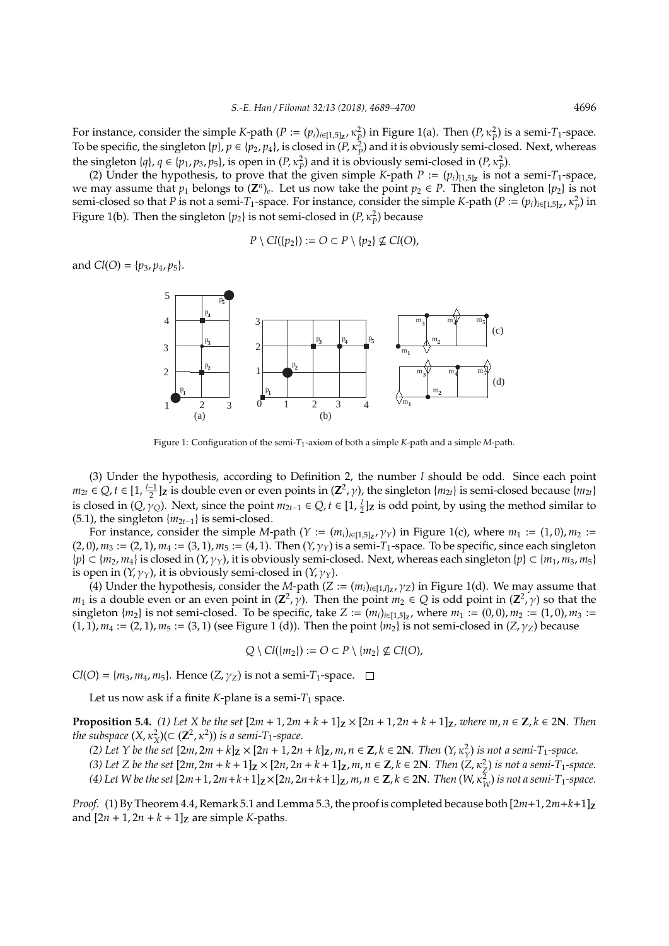For instance, consider the simple *K*-path (*P* :=  $(p_i)_{i \in [1,5]_Z}$ ,  $\kappa_P^2$ ) in Figure 1(a). Then (*P*,  $\kappa_P^2$ ) is a semi-*T*<sub>1</sub>-space. To be specific, the singleton  $\{p\}$ ,  $p \in \{p_2, p_4\}$ , is closed in  $(P, \kappa_P^2)$  and it is obviously semi-closed. Next, whereas the singleton  $\{q\}$ ,  $q \in \{p_1, p_3, p_5\}$ , is open in  $(P, \kappa_P^2)$  and it is obviously semi-closed in  $(P, \kappa_P^2)$ .

(2) Under the hypothesis, to prove that the given simple *K*-path  $P := (p_i)_{[1,5]_\mathbb{Z}}$  is not a semi-*T*<sub>1</sub>-space, we may assume that  $p_1$  belongs to  $(\mathbb{Z}^n)_e$ . Let us now take the point  $p_2 \in P$ . Then the singleton  $\{p_2\}$  is not semi-closed so that *P* is not a semi-*T*<sub>1</sub>-space. For instance, consider the simple *K*-path (*P* :=  $(p_i)_{i \in [1,5]_Z}$ ,  $\kappa_P^2$ ) in Figure 1(b). Then the singleton  $\{p_2\}$  is not semi-closed in  $(P, \kappa_P^2)$  because

$$
P \setminus Cl(\{p_2\}) := O \subset P \setminus \{p_2\} \nsubseteq Cl(O),
$$

and  $Cl(O) = \{p_3, p_4, p_5\}.$ 



Figure 1: Configuration of the semi-*T*1-axiom of both a simple *K*-path and a simple *M*-path.

(3) Under the hypothesis, according to Definition 2, the number *l* should be odd. Since each point  $m_{2t} \in Q, t \in [1, \frac{l-1}{2}]$  is double even or even points in  $(\mathbb{Z}^2, \gamma)$ , the singleton { $m_{2t}$ } is semi-closed because { $m_{2t}$ } is closed in  $(Q, \gamma_Q)$ . Next, since the point  $m_{2t-1} \in Q$ ,  $t \in [1, \frac{1}{2}]$  is odd point, by using the method similar to (5.1), the singleton  ${m_{2t-1}}$  is semi-closed.

For instance, consider the simple *M*-path (*Y* :=  $(m_i)_{i \in [1,5] \times I}$  $\gamma_Y$ ) in Figure 1(c), where  $m_1 := (1,0)$ ,  $m_2 :=$  $(2, 0)$ ,  $m_3 := (2, 1)$ ,  $m_4 := (3, 1)$ ,  $m_5 := (4, 1)$ . Then  $(Y, \gamma_Y)$  is a semi-*T*<sub>1</sub>-space. To be specific, since each singleton  ${p} \subset \{m_2, m_4\}$  is closed in  $(Y, \gamma_Y)$ , it is obviously semi-closed. Next, whereas each singleton  ${p} \subset \{m_1, m_3, m_5\}$ is open in  $(Y, \gamma_Y)$ , it is obviously semi-closed in  $(Y, \gamma_Y)$ .

(4) Under the hypothesis, consider the *M*-path (*Z* :=  $(m_i)_{i \in [1,l]_Z}$ ,  $\gamma_Z$ ) in Figure 1(d). We may assume that *m*<sub>1</sub> is a double even or an even point in  $(\mathbb{Z}^2, \gamma)$ . Then the point  $m_2 \in Q$  is odd point in  $(\mathbb{Z}^2, \gamma)$  so that the singleton  $\{m_2\}$  is not semi-closed. To be specific, take  $Z := (m_i)_{i \in [1,5]_Z}$ , where  $m_1 := (0,0), m_2 := (1,0), m_3 :=$  $(1, 1), m_4 := (2, 1), m_5 := (3, 1)$  (see Figure 1 (d)). Then the point  $\{m_2\}$  is not semi-closed in  $(Z, \gamma_Z)$  because

$$
Q \setminus Cl(\{m_2\}) := O \subset P \setminus \{m_2\} \nsubseteq Cl(O),
$$

*Cl*(*O*) = { $m_3$ ,  $m_4$ ,  $m_5$ }. Hence (*Z*,  $\gamma$ <sub>*Z*</sub>) is not a semi-*T*<sub>1</sub>-space.  $\Box$ 

Let us now ask if a finite  $K$ -plane is a semi- $T_1$  space.

**Proposition 5.4.** (1) Let X be the set  $[2m + 1, 2m + k + 1]_Z \times [2n + 1, 2n + k + 1]_Z$ , where  $m, n \in Z, k \in 2N$ . Then *the subspace*  $(X, \kappa_X^2)(\subset (\mathbb{Z}^2, \kappa^2))$  *is a semi-T*<sub>1</sub>-space.

(2) Let Y be the set  $[2m, 2m+k]_Z \times [2n+1, 2n+k]_Z$ ,  $m, n \in \mathbb{Z}$ ,  $k \in 2\mathbb{N}$ . Then  $(Y, \kappa_Y^2)$  is not a semi-T<sub>1</sub>-space.

(3) Let Z be the set  $[2m, 2m+k+1]_Z \times [2n, 2n+k+1]_Z$ ,  $m, n \in \mathbb{Z}$ ,  $k \in 2\mathbb{N}$ . Then  $(Z, \kappa_Z^2)$  is not a semi-T<sub>1</sub>-space.

(4) Let W be the set  $[2m+1, 2m+k+1]_\mathbf{Z} \times [2n, 2n+k+1]_\mathbf{Z}$ ,  $m, n \in \mathbf{Z}, k \in 2\mathbf{N}$ . Then  $(W, \kappa^2_W)$  is not a semi-T<sub>1</sub>-space.

*Proof.* (1) By Theorem 4.4, Remark 5.1 and Lemma 5.3, the proof is completed because both  $[2m+1, 2m+k+1]$ **Z** and  $[2n + 1, 2n + k + 1]$ **z** are simple *K*-paths.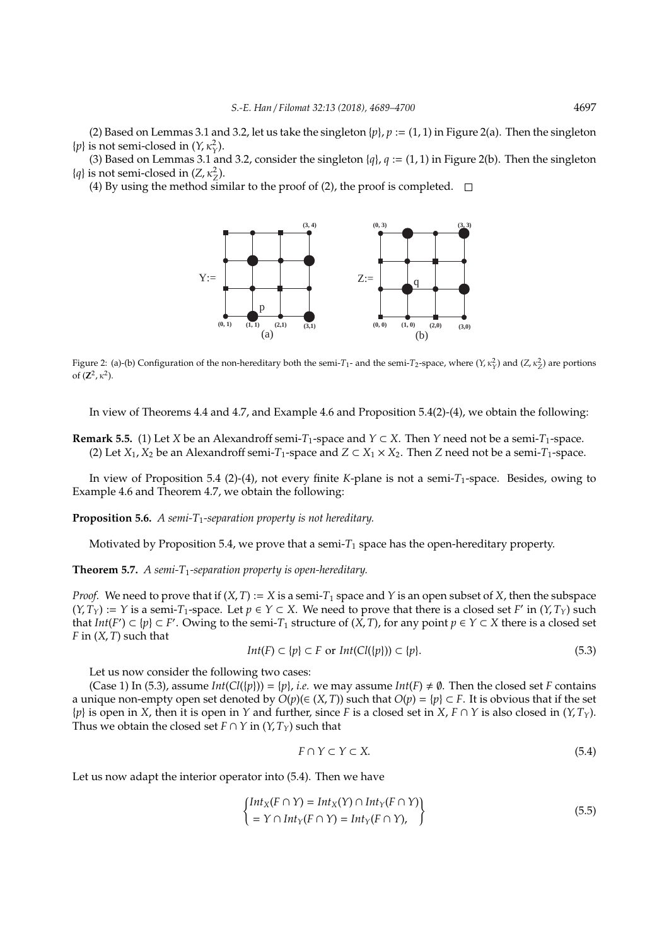(2) Based on Lemmas 3.1 and 3.2, let us take the singleton  $\{p\}$ ,  $p := (1, 1)$  in Figure 2(a). Then the singleton  $\{p\}$  is not semi-closed in  $(Y, \kappa_Y^2)$ .

(3) Based on Lemmas 3.1 and 3.2, consider the singleton  $\{q\}$ ,  $q := (1, 1)$  in Figure 2(b). Then the singleton  $\{q\}$  is not semi-closed in  $(Z, \kappa_Z^2)$ .

(4) By using the method similar to the proof of (2), the proof is completed.  $\square$ 



Figure 2: (a)-(b) Configuration of the non-hereditary both the semi-*T*<sub>1</sub>- and the semi-*T*<sub>2</sub>-space, where  $(Y, \kappa_Y^2)$  and  $(Z, \kappa_Z^2)$  are portions of  $(\mathbb{Z}^2, \kappa^2)$ .

In view of Theorems 4.4 and 4.7, and Example 4.6 and Proposition 5.4(2)-(4), we obtain the following:

**Remark 5.5.** (1) Let *X* be an Alexandroff semi-*T*<sub>1</sub>-space and *Y* ⊂ *X*. Then *Y* need not be a semi-*T*<sub>1</sub>-space. (2) Let *X*<sub>1</sub>, *X*<sub>2</sub> be an Alexandroff semi-*T*<sub>1</sub>-space and *Z* ⊂ *X*<sub>1</sub> × *X*<sub>2</sub>. Then *Z* need not be a semi-*T*<sub>1</sub>-space.

In view of Proposition 5.4 (2)-(4), not every finite *K*-plane is not a semi-*T*1-space. Besides, owing to Example 4.6 and Theorem 4.7, we obtain the following:

**Proposition 5.6.** *A semi-T*1*-separation property is not hereditary.*

Motivated by Proposition 5.4, we prove that a semi- $T_1$  space has the open-hereditary property.

**Theorem 5.7.** *A semi-T*1*-separation property is open-hereditary.*

*Proof.* We need to prove that if  $(X, T) := X$  is a semi- $T_1$  space and Y is an open subset of X, then the subspace  $(Y, T_Y) := Y$  is a semi-*T*<sub>1</sub>-space. Let  $p \in Y \subset X$ . We need to prove that there is a closed set *F'* in  $(Y, T_Y)$  such that  $Int(F') \subset \{p\} \subset F'$ . Owing to the semi- $T_1$  structure of  $(X, T)$ , for any point  $p \in Y \subset X$  there is a closed set *F* in (*X*, *T*) such that

$$
Int(F) \subset \{p\} \subset F \text{ or } Int(Cl(\{p\})) \subset \{p\}.
$$
\n
$$
(5.3)
$$

Let us now consider the following two cases:

(Case 1) In (5.3), assume  $Int(Cl{p}) = {p}$ , *i.e.* we may assume  $Int(F) \neq \emptyset$ . Then the closed set *F* contains a unique non-empty open set denoted by  $O(p)(\in (X,T))$  such that  $O(p) = \{p\} \subset F$ . It is obvious that if the set {*p*} is open in *X*, then it is open in *Y* and further, since *F* is a closed set in *X*, *F* ∩ *Y* is also closed in (*Y*, *TY*). Thus we obtain the closed set *F* ∩ *Y* in  $(Y, T_Y)$  such that

$$
F \cap Y \subset Y \subset X. \tag{5.4}
$$

Let us now adapt the interior operator into (5.4). Then we have

$$
\begin{cases}\nInt_X(F \cap Y) = Int_X(Y) \cap Int_Y(F \cap Y) \\
= Y \cap Int_Y(F \cap Y) = Int_Y(F \cap Y),\n\end{cases}
$$
\n(5.5)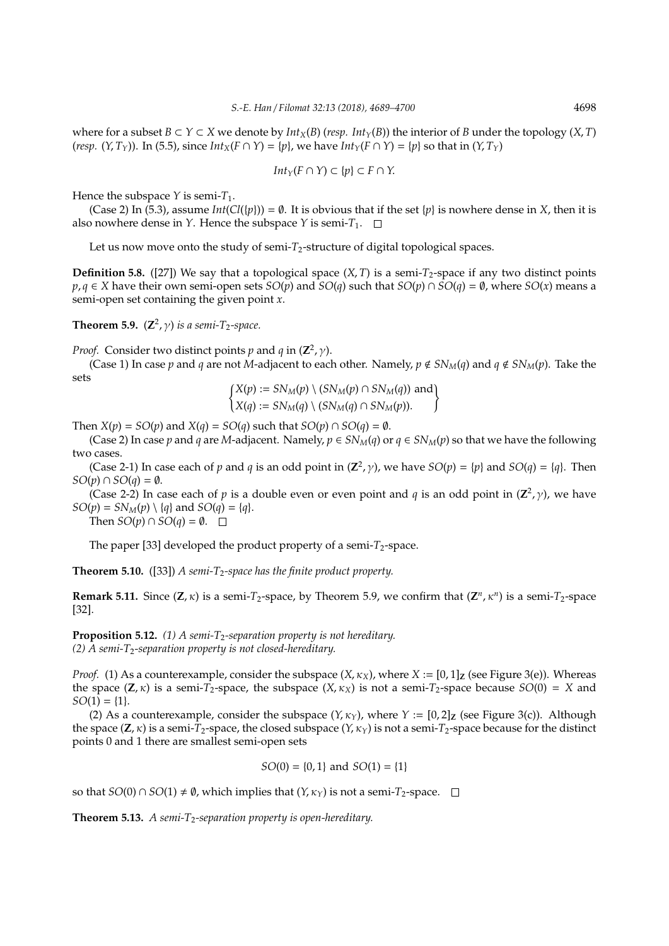where for a subset  $B \subset Y \subset X$  we denote by  $Int_Y(B)$  (*resp. Int* $_Y(B)$ ) the interior of *B* under the topology (*X*, *T*) (*resp.*  $(Y, T_Y)$ ). In (5.5), since  $Int_X(F \cap Y) = \{p\}$ , we have  $Int_Y(F \cap Y) = \{p\}$  so that in  $(Y, T_Y)$ 

$$
Int_Y(F \cap Y) \subset \{p\} \subset F \cap Y.
$$

Hence the subspace  $Y$  is semi- $T_1$ .

(Case 2) In (5.3), assume  $Int(Cl{p}) = \emptyset$ . It is obvious that if the set  ${p}$  is nowhere dense in *X*, then it is also nowhere dense in *Y*. Hence the subspace *Y* is semi- $T_1$ .  $\Box$ 

Let us now move onto the study of semi- $T_2$ -structure of digital topological spaces.

**Definition 5.8.** ([27]) We say that a topological space  $(X, T)$  is a semi- $T_2$ -space if any two distinct points *p*, *q* ∈ *X* have their own semi-open sets *SO*(*p*) and *SO*(*q*) such that *SO*(*p*) ∩ *SO*(*q*) = ∅, where *SO*(*x*) means a semi-open set containing the given point *x*.

**Theorem 5.9.**  $(\mathbb{Z}^2, \gamma)$  *is a semi-T*<sub>2</sub>-space.

*Proof.* Consider two distinct points *p* and *q* in  $(\mathbb{Z}^2, \gamma)$ .

(Case 1) In case *p* and *q* are not *M*-adjacent to each other. Namely,  $p \notin SN_M(q)$  and  $q \notin SN_M(p)$ . Take the sets  $X = \sum_{k=1}^{n} (X_k - \sum_{k=1}^{n} (X_k - \sum_{k=1}^{n} (X_k - \sum_{k=1}^{n} (X_k - \sum_{k=1}^{n} (X_k - \sum_{k=1}^{n} (X_k - \sum_{k=1}^{n} (X_k - \sum_{k=1}^{n} (X_k - \sum_{k=1}^{n} (X_k - \sum_{k=1}^{n} (X_k - \sum_{k=1}^{n} (X_k - \sum_{k=1}^{n} (X_k - \sum_{k=1}^{n} (X_k - \sum_{k=1}^{n} (X_k - \sum_{k=1}^{n} (X_k - \sum_{k=1}^{$ 

$$
\begin{cases} X(p) := SN_M(p) \setminus (SN_M(p) \cap SN_M(q)) \text{ and} \\ X(q) := SN_M(q) \setminus (SN_M(q) \cap SN_M(p)). \end{cases}
$$

Then  $X(p) = SO(p)$  and  $X(q) = SO(q)$  such that  $SO(p) \cap SO(q) = \emptyset$ .

(Case 2) In case  $p$  and  $q$  are *M*-adjacent. Namely,  $p \in SN_M(q)$  or  $q \in SN_M(p)$  so that we have the following two cases.

(Case 2-1) In case each of *p* and *q* is an odd point in  $(\mathbb{Z}^2, \gamma)$ , we have  $SO(p) = \{p\}$  and  $SO(q) = \{q\}$ . Then *SO*( $p$ ) ∩ *SO*( $q$ ) =  $\emptyset$ .

(Case 2-2) In case each of *p* is a double even or even point and *q* is an odd point in  $(\mathbb{Z}^2, \gamma)$ , we have  $SO(p) = SN_M(p) \setminus \{q\}$  and  $SO(q) = \{q\}.$ 

Then  $SO(p) \cap SO(q) = \emptyset$ .  $\square$ 

The paper [33] developed the product property of a semi- $T_2$ -space.

**Theorem 5.10.** ([33]) *A semi-T*<sub>2</sub>-space has the finite product property.

**Remark 5.11.** Since  $(Z, \kappa)$  is a semi- $T_2$ -space, by Theorem 5.9, we confirm that  $(Z^n, \kappa^n)$  is a semi- $T_2$ -space [32].

**Proposition 5.12.** (1) A semi-T<sub>2</sub>-separation property is not hereditary. *(2) A semi-T*2*-separation property is not closed-hereditary.*

*Proof.* (1) As a counterexample, consider the subspace  $(X, \kappa_X)$ , where  $X := [0, 1]_Z$  (see Figure 3(e)). Whereas the space  $(\mathbf{Z}, \kappa)$  is a semi-*T*<sub>2</sub>-space, the subspace  $(X, \kappa_X)$  is not a semi-*T*<sub>2</sub>-space because *SO*(0) = *X* and  $SO(1) = \{1\}.$ 

(2) As a counterexample, consider the subspace  $(Y, \kappa_Y)$ , where  $Y := [0, 2]$ <sub>Z</sub> (see Figure 3(c)). Although the space  $(Z, \kappa)$  is a semi- $T_2$ -space, the closed subspace  $(Y, \kappa_Y)$  is not a semi- $T_2$ -space because for the distinct points 0 and 1 there are smallest semi-open sets

$$
SO(0) = \{0, 1\}
$$
 and  $SO(1) = \{1\}$ 

so that *SO*(0) ∩ *SO*(1)  $\neq$  Ø, which implies that (*Y*,  $\kappa$ <sub>*Y*</sub>) is not a semi-*T*<sub>2</sub>-space. □

**Theorem 5.13.** *A semi-T*<sub>2</sub>-separation property is open-hereditary.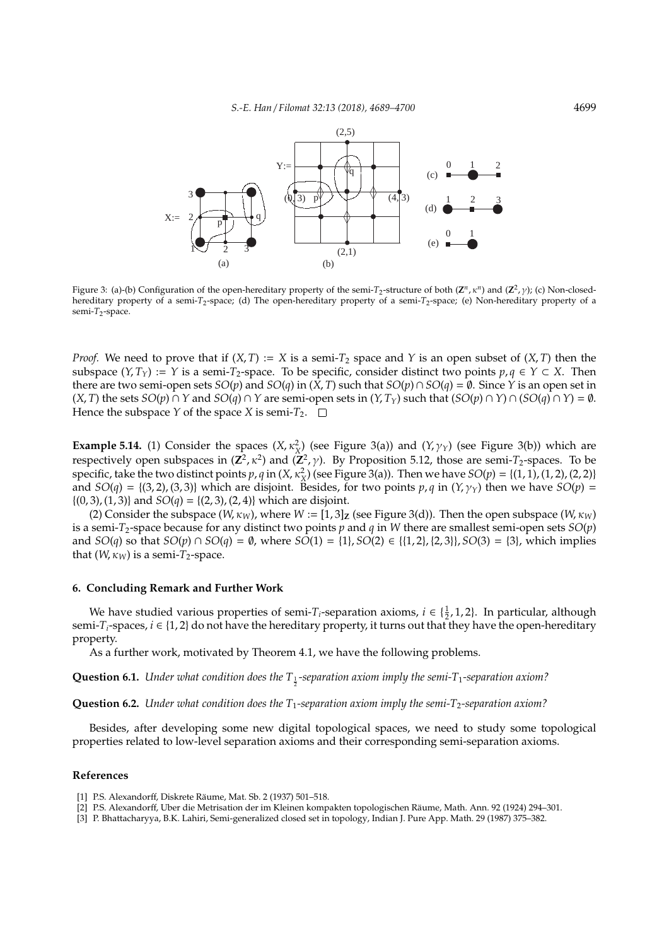

Figure 3: (a)-(b) Configuration of the open-hereditary property of the semi- $T_2$ -structure of both  $(\mathbb{Z}^n, \kappa^n)$  and  $(\mathbb{Z}^2, \gamma)$ ; (c) Non-closedhereditary property of a semi-*T*2-space; (d) The open-hereditary property of a semi-*T*2-space; (e) Non-hereditary property of a semi-*T*<sub>2</sub>-space.

*Proof.* We need to prove that if  $(X, T) := X$  is a semi- $T_2$  space and Y is an open subset of  $(X, T)$  then the subspace  $(Y, T_Y) := Y$  is a semi- $T_2$ -space. To be specific, consider distinct two points  $p, q \in Y \subset X$ . Then there are two semi-open sets *SO*(*p*) and *SO*(*q*) in (*X*, *T*) such that *SO*(*p*)  $\cap$  *SO*(*q*) =  $\emptyset$ . Since *Y* is an open set in  $(X, T)$  the sets  $SO(p) \cap Y$  and  $SO(q) \cap Y$  are semi-open sets in  $(Y, T_Y)$  such that  $(SO(p) \cap Y) \cap (SO(q) \cap Y) = \emptyset$ . Hence the subspace *Y* of the space *X* is semi- $T_2$ .  $\Box$ 

**Example 5.14.** (1) Consider the spaces  $(X, \kappa_X^2)$  (see Figure 3(a)) and  $(Y, \gamma_Y)$  (see Figure 3(b)) which are respectively open subspaces in  $(\mathbb{Z}^2, \kappa^2)$  and  $(\mathbb{Z}^2, \gamma)$ . By Proposition 5.12, those are semi- $T_2$ -spaces. To be specific, take the two distinct points  $p, q$  in  $(X, \kappa_X^2)$  (see Figure 3(a)). Then we have  $SO(p) = \{(1, 1), (1, 2), (2, 2)\}$ and  $SO(q) = \{(3, 2), (3, 3)\}$  which are disjoint. Besides, for two points  $p, q$  in  $(Y, \gamma_Y)$  then we have  $SO(p)$  =  $\{(0, 3), (1, 3)\}\$ and  $SO(q) = \{(2, 3), (2, 4)\}\$ which are disjoint.

(2) Consider the subspace (*W*,  $\kappa_W$ ), where  $W := [1, 3]$ <sub>Z</sub> (see Figure 3(d)). Then the open subspace (*W*,  $\kappa_W$ ) is a semi- $T_2$ -space because for any distinct two points  $p$  and  $q$  in  $W$  there are smallest semi-open sets  $SO(p)$ and *SO*(*q*) so that *SO*(*p*) ∩ *SO*(*q*) =  $\emptyset$ , where *SO*(1) = {1}, *SO*(2) ∈ {{1, 2}, {2, 3}}, *SO*(3) = {3}, which implies that  $(W, \kappa_W)$  is a semi- $T_2$ -space.

#### **6. Concluding Remark and Further Work**

We have studied various properties of semi-*T*<sub>*i*</sub>-separation axioms,  $i \in \{\frac{1}{2}, 1, 2\}$ . In particular, although semi- $T_i$ -spaces,  $i \in \{1,2\}$  do not have the hereditary property, it turns out that they have the open-hereditary property.

As a further work, motivated by Theorem 4.1, we have the following problems.

**Question 6.1.** Under what condition does the T<sub>1</sub>-separation axiom imply the semi-T<sub>1</sub>-separation axiom?

**Question 6.2.** *Under what condition does the T<sub>1</sub>-separation axiom imply the semi-T<sub>2</sub>-separation axiom?* 

Besides, after developing some new digital topological spaces, we need to study some topological properties related to low-level separation axioms and their corresponding semi-separation axioms.

#### **References**

- [1] P.S. Alexandorff, Diskrete Räume, Mat. Sb. 2 (1937) 501-518.
- [2] P.S. Alexandorff, Uber die Metrisation der im Kleinen kompakten topologischen Raume, Math. Ann. 92 (1924) 294–301. ¨
- [3] P. Bhattacharyya, B.K. Lahiri, Semi-generalized closed set in topology, Indian J. Pure App. Math. 29 (1987) 375–382.